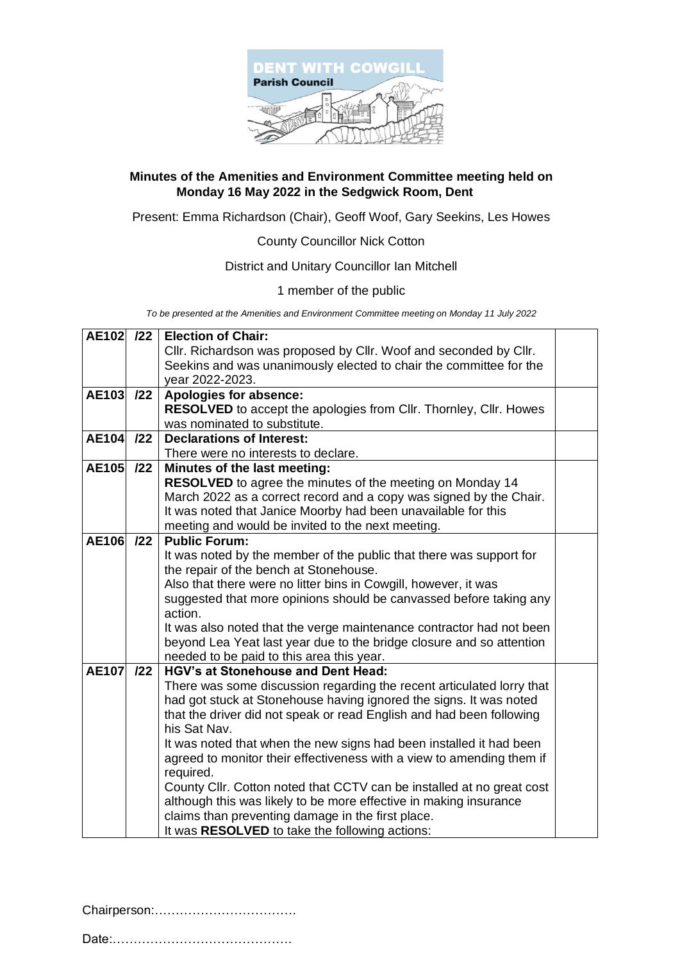

#### **Minutes of the Amenities and Environment Committee meeting held on Monday 16 May 2022 in the Sedgwick Room, Dent**

Present: Emma Richardson (Chair), Geoff Woof, Gary Seekins, Les Howes

County Councillor Nick Cotton

#### District and Unitary Councillor Ian Mitchell

1 member of the public

*To be presented at the Amenities and Environment Committee meeting on Monday 11 July 2022*

| AE102 /22    |     | <b>Election of Chair:</b>                                                                                                             |  |
|--------------|-----|---------------------------------------------------------------------------------------------------------------------------------------|--|
|              |     | Cllr. Richardson was proposed by Cllr. Woof and seconded by Cllr.                                                                     |  |
|              |     | Seekins and was unanimously elected to chair the committee for the                                                                    |  |
|              |     | year 2022-2023.                                                                                                                       |  |
| <b>AE103</b> | 122 | Apologies for absence:                                                                                                                |  |
|              |     | <b>RESOLVED</b> to accept the apologies from CIIr. Thornley, CIIr. Howes                                                              |  |
|              |     | was nominated to substitute.                                                                                                          |  |
| <b>AE104</b> | 122 | <b>Declarations of Interest:</b>                                                                                                      |  |
|              |     | There were no interests to declare.                                                                                                   |  |
| AE105 /22    |     | Minutes of the last meeting:                                                                                                          |  |
|              |     | RESOLVED to agree the minutes of the meeting on Monday 14                                                                             |  |
|              |     | March 2022 as a correct record and a copy was signed by the Chair.                                                                    |  |
|              |     | It was noted that Janice Moorby had been unavailable for this                                                                         |  |
|              |     | meeting and would be invited to the next meeting.                                                                                     |  |
| <b>AE106</b> | 122 | <b>Public Forum:</b>                                                                                                                  |  |
|              |     | It was noted by the member of the public that there was support for                                                                   |  |
|              |     | the repair of the bench at Stonehouse.                                                                                                |  |
|              |     | Also that there were no litter bins in Cowgill, however, it was<br>suggested that more opinions should be canvassed before taking any |  |
|              |     | action.                                                                                                                               |  |
|              |     | It was also noted that the verge maintenance contractor had not been                                                                  |  |
|              |     | beyond Lea Yeat last year due to the bridge closure and so attention                                                                  |  |
|              |     | needed to be paid to this area this year.                                                                                             |  |
| <b>AE107</b> | 122 | <b>HGV's at Stonehouse and Dent Head:</b>                                                                                             |  |
|              |     | There was some discussion regarding the recent articulated lorry that                                                                 |  |
|              |     | had got stuck at Stonehouse having ignored the signs. It was noted                                                                    |  |
|              |     | that the driver did not speak or read English and had been following                                                                  |  |
|              |     | his Sat Nav.                                                                                                                          |  |
|              |     | It was noted that when the new signs had been installed it had been                                                                   |  |
|              |     | agreed to monitor their effectiveness with a view to amending them if                                                                 |  |
|              |     | required.                                                                                                                             |  |
|              |     | County Cllr. Cotton noted that CCTV can be installed at no great cost                                                                 |  |
|              |     | although this was likely to be more effective in making insurance                                                                     |  |
|              |     | claims than preventing damage in the first place.                                                                                     |  |
|              |     | It was RESOLVED to take the following actions:                                                                                        |  |

Chairperson:…………………………….

Date:…………………………………….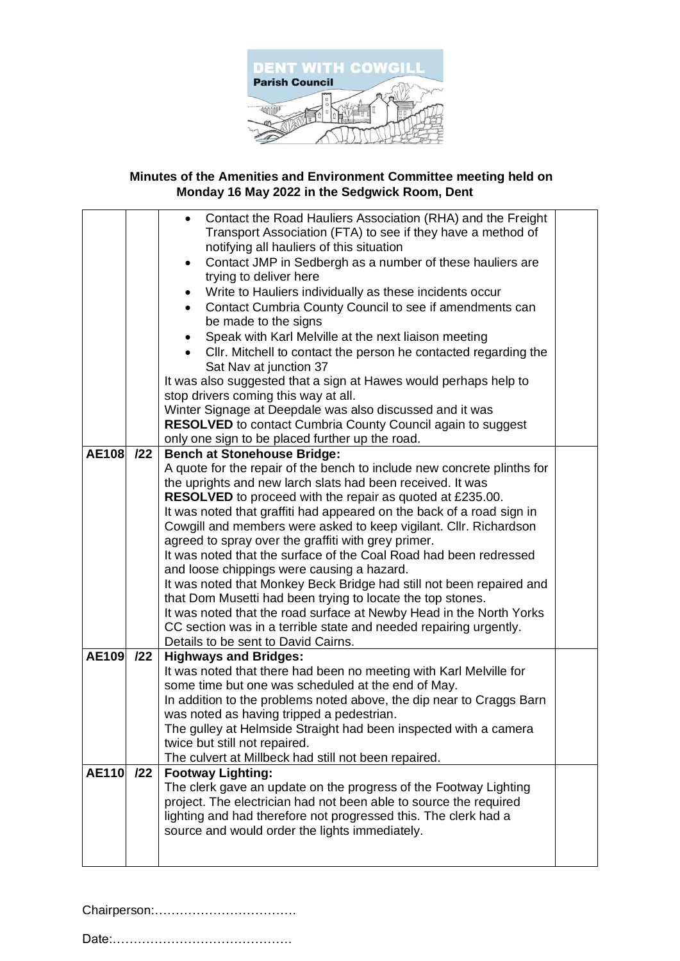

# **Minutes of the Amenities and Environment Committee meeting held on Monday 16 May 2022 in the Sedgwick Room, Dent**

|              |     | Contact the Road Hauliers Association (RHA) and the Freight<br>$\bullet$<br>Transport Association (FTA) to see if they have a method of<br>notifying all hauliers of this situation<br>Contact JMP in Sedbergh as a number of these hauliers are<br>$\bullet$<br>trying to deliver here<br>Write to Hauliers individually as these incidents occur<br>Contact Cumbria County Council to see if amendments can<br>$\bullet$<br>be made to the signs<br>Speak with Karl Melville at the next liaison meeting<br>Cllr. Mitchell to contact the person he contacted regarding the<br>Sat Nav at junction 37<br>It was also suggested that a sign at Hawes would perhaps help to<br>stop drivers coming this way at all.<br>Winter Signage at Deepdale was also discussed and it was<br><b>RESOLVED</b> to contact Cumbria County Council again to suggest<br>only one sign to be placed further up the road. |  |
|--------------|-----|----------------------------------------------------------------------------------------------------------------------------------------------------------------------------------------------------------------------------------------------------------------------------------------------------------------------------------------------------------------------------------------------------------------------------------------------------------------------------------------------------------------------------------------------------------------------------------------------------------------------------------------------------------------------------------------------------------------------------------------------------------------------------------------------------------------------------------------------------------------------------------------------------------|--|
| <b>AE108</b> | 122 | <b>Bench at Stonehouse Bridge:</b>                                                                                                                                                                                                                                                                                                                                                                                                                                                                                                                                                                                                                                                                                                                                                                                                                                                                       |  |
|              |     | A quote for the repair of the bench to include new concrete plinths for<br>the uprights and new larch slats had been received. It was<br>RESOLVED to proceed with the repair as quoted at £235.00.<br>It was noted that graffiti had appeared on the back of a road sign in<br>Cowgill and members were asked to keep vigilant. Cllr. Richardson<br>agreed to spray over the graffiti with grey primer.<br>It was noted that the surface of the Coal Road had been redressed<br>and loose chippings were causing a hazard.<br>It was noted that Monkey Beck Bridge had still not been repaired and<br>that Dom Musetti had been trying to locate the top stones.<br>It was noted that the road surface at Newby Head in the North Yorks<br>CC section was in a terrible state and needed repairing urgently.<br>Details to be sent to David Cairns.                                                      |  |
| AE109        | 122 | <b>Highways and Bridges:</b><br>It was noted that there had been no meeting with Karl Melville for<br>some time but one was scheduled at the end of May.<br>In addition to the problems noted above, the dip near to Craggs Barn                                                                                                                                                                                                                                                                                                                                                                                                                                                                                                                                                                                                                                                                         |  |
|              |     | was noted as having tripped a pedestrian.                                                                                                                                                                                                                                                                                                                                                                                                                                                                                                                                                                                                                                                                                                                                                                                                                                                                |  |
|              |     | The gulley at Helmside Straight had been inspected with a camera                                                                                                                                                                                                                                                                                                                                                                                                                                                                                                                                                                                                                                                                                                                                                                                                                                         |  |
|              |     | twice but still not repaired.                                                                                                                                                                                                                                                                                                                                                                                                                                                                                                                                                                                                                                                                                                                                                                                                                                                                            |  |
|              |     | The culvert at Millbeck had still not been repaired.                                                                                                                                                                                                                                                                                                                                                                                                                                                                                                                                                                                                                                                                                                                                                                                                                                                     |  |
| <b>AE110</b> | 122 | <b>Footway Lighting:</b><br>The clerk gave an update on the progress of the Footway Lighting<br>project. The electrician had not been able to source the required<br>lighting and had therefore not progressed this. The clerk had a<br>source and would order the lights immediately.                                                                                                                                                                                                                                                                                                                                                                                                                                                                                                                                                                                                                   |  |
|              |     |                                                                                                                                                                                                                                                                                                                                                                                                                                                                                                                                                                                                                                                                                                                                                                                                                                                                                                          |  |

Chairperson:…………………………….

Date:…………………………………….